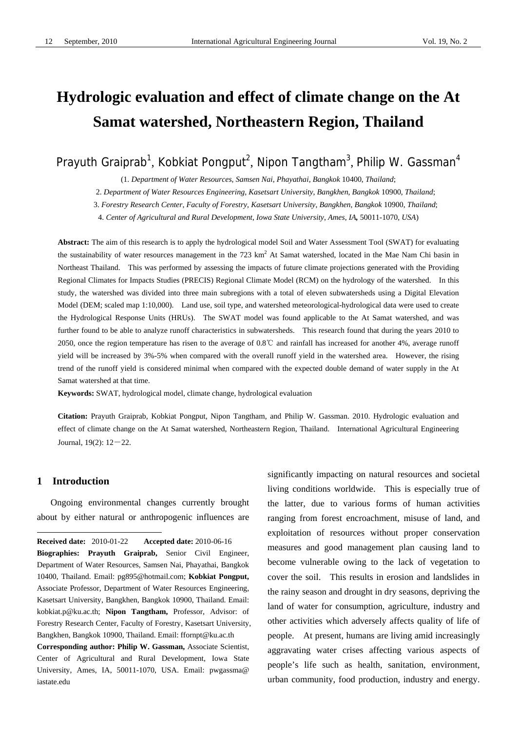# **Hydrologic evaluation and effect of climate change on the At Samat watershed, Northeastern Region, Thailand**

Prayuth Graiprab<sup>1</sup>, Kobkiat Pongput<sup>2</sup>, Nipon Tangtham<sup>3</sup>, Philip W. Gassman<sup>4</sup>

(1. *Department of Water Resources*, *Samsen Nai*, *Phayathai*, *Bangkok* 10400, *Thailand*;

2. *Department of Water Resources Engineering*, *Kasetsart University*, *Bangkhen*, *Bangkok* 10900, *Thailand*;

3. *Forestry Research Center*, *Faculty of Forestry*, *Kasetsart University*, *Bangkhen*, *Bangkok* 10900, *Thailand*;

4. *Center of Agricultural and Rural Development*, *Iowa State University*, *Ames*, *IA,* 50011-1070, *USA*)

**Abstract:** The aim of this research is to apply the hydrological model Soil and Water Assessment Tool (SWAT) for evaluating the sustainability of water resources management in the 723  $km^2$  At Samat watershed, located in the Mae Nam Chi basin in Northeast Thailand. This was performed by assessing the impacts of future climate projections generated with the Providing Regional Climates for Impacts Studies (PRECIS) Regional Climate Model (RCM) on the hydrology of the watershed. In this study, the watershed was divided into three main subregions with a total of eleven subwatersheds using a Digital Elevation Model (DEM; scaled map 1:10,000). Land use, soil type, and watershed meteorological-hydrological data were used to create the Hydrological Response Units (HRUs). The SWAT model was found applicable to the At Samat watershed, and was further found to be able to analyze runoff characteristics in subwatersheds. This research found that during the years 2010 to 2050, once the region temperature has risen to the average of 0.8℃ and rainfall has increased for another 4%, average runoff yield will be increased by 3%-5% when compared with the overall runoff yield in the watershed area. However, the rising trend of the runoff yield is considered minimal when compared with the expected double demand of water supply in the At Samat watershed at that time.

**Keywords:** SWAT, hydrological model, climate change, hydrological evaluation

**Citation:** Prayuth Graiprab, Kobkiat Pongput, Nipon Tangtham, and Philip W. Gassman. 2010. Hydrologic evaluation and effect of climate change on the At Samat watershed, Northeastern Region, Thailand. International Agricultural Engineering Journal,  $19(2)$ :  $12-22$ .

## **1 Introduction**

 $\overline{a}$ 

Ongoing environmental changes currently brought about by either natural or anthropogenic influences are

**Corresponding author: Philip W. Gassman,** Associate Scientist, Center of Agricultural and Rural Development, Iowa State University, Ames, IA, 50011-1070, USA. Email: pwgassma@ iastate.edu

significantly impacting on natural resources and societal living conditions worldwide. This is especially true of the latter, due to various forms of human activities ranging from forest encroachment, misuse of land, and exploitation of resources without proper conservation measures and good management plan causing land to become vulnerable owing to the lack of vegetation to cover the soil. This results in erosion and landslides in the rainy season and drought in dry seasons, depriving the land of water for consumption, agriculture, industry and other activities which adversely affects quality of life of people. At present, humans are living amid increasingly aggravating water crises affecting various aspects of people's life such as health, sanitation, environment, urban community, food production, industry and energy.

<span id="page-0-0"></span>**Received date:** 2010-01-22 **Accepted date:** 2010-06-16 **Biographies: Prayuth Graiprab,** Senior Civil Engineer, Department of Water Resources, Samsen Nai, Phayathai, Bangkok 10400, Thailand. Email: [pg895@hotmail.com;](mailto:pg895@hotmail.com) **Kobkiat Pongput,** Associate Professor, Department of Water Resources Engineering, Kasetsart University, Bangkhen, Bangkok 10900, Thailand. Email: [kobkiat.p@ku.ac.th](mailto:kobkiat.p@ku.ac.th); **Nipon Tangtham,** Professor, Advisor: of Forestry Research Center, Faculty of Forestry, Kasetsart University, Bangkhen, Bangkok 10900, Thailand. Email: [ffornpt@ku.ac.th](mailto:ffornpt@ku.ac.th)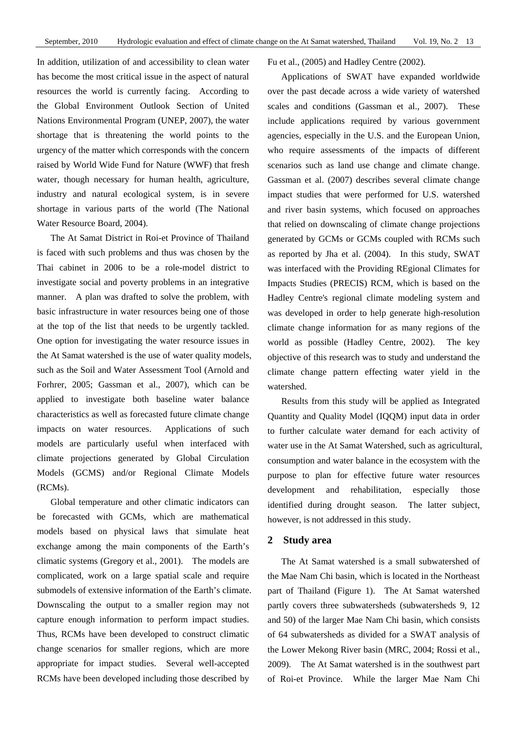In addition, utilization of and accessibility to clean water has become the most critical issue in the aspect of natural resources the world is currently facing. According to the Global Environment Outlook Section of United Nations Environmental Program (UNEP, 2007), the water shortage that is threatening the world points to the urgency of the matter which corresponds with the concern raised by World Wide Fund for Nature (WWF) that fresh water, though necessary for human health, agriculture, industry and natural ecological system, is in severe shortage in various parts of the world (The National Water Resource Board, 2004).

The At Samat District in Roi-et Province of Thailand is faced with such problems and thus was chosen by the Thai cabinet in 2006 to be a role-model district to investigate social and poverty problems in an integrative manner. A plan was drafted to solve the problem, with basic infrastructure in water resources being one of those at the top of the list that needs to be urgently tackled. One option for investigating the water resource issues in the At Samat watershed is the use of water quality models, such as the Soil and Water Assessment Tool (Arnold and Forhrer, 2005; Gassman et al., 2007), which can be applied to investigate both baseline water balance characteristics as well as forecasted future climate change impacts on water resources. Applications of such models are particularly useful when interfaced with climate projections generated by Global Circulation Models (GCMS) and/or Regional Climate Models (RCMs).

Global temperature and other climatic indicators can be forecasted with GCMs, which are mathematical models based on physical laws that simulate heat exchange among the main components of the Earth's climatic systems (Gregory et al., 2001). The models are complicated, work on a large spatial scale and require submodels of extensive information of the Earth's climate. Downscaling the output to a smaller region may not capture enough information to perform impact studies. Thus, RCMs have been developed to construct climatic change scenarios for smaller regions, which are more appropriate for impact studies. Several well-accepted RCMs have been developed including those described by

Fu et al., (2005) and Hadley Centre (2002).

Applications of SWAT have expanded worldwide over the past decade across a wide variety of watershed scales and conditions (Gassman et al., 2007). These include applications required by various government agencies, especially in the U.S. and the European Union, who require assessments of the impacts of different scenarios such as land use change and climate change. Gassman et al. (2007) describes several climate change impact studies that were performed for U.S. watershed and river basin systems, which focused on approaches that relied on downscaling of climate change projections generated by GCMs or GCMs coupled with RCMs such as reported by Jha et al. (2004). In this study, SWAT was interfaced with the Providing REgional Climates for Impacts Studies (PRECIS) RCM, which is based on the Hadley Centre's regional climate modeling system and was developed in order to help generate high-resolution climate change information for as many regions of the world as possible (Hadley Centre, 2002). The key objective of this research was to study and understand the climate change pattern effecting water yield in the watershed.

Results from this study will be applied as Integrated Quantity and Quality Model (IQQM) input data in order to further calculate water demand for each activity of water use in the At Samat Watershed, such as agricultural, consumption and water balance in the ecosystem with the purpose to plan for effective future water resources development and rehabilitation, especially those identified during drought season. The latter subject, however, is not addressed in this study.

## **2 Study area**

The At Samat watershed is a small subwatershed of the Mae Nam Chi basin, which is located in the Northeast part of Thailand (Figure 1). The At Samat watershed partly covers three subwatersheds (subwatersheds 9, 12 and 50) of the larger Mae Nam Chi basin, which consists of 64 subwatersheds as divided for a SWAT analysis of the Lower Mekong River basin (MRC, 2004; Rossi et al., 2009). The At Samat watershed is in the southwest part of Roi-et Province. While the larger Mae Nam Chi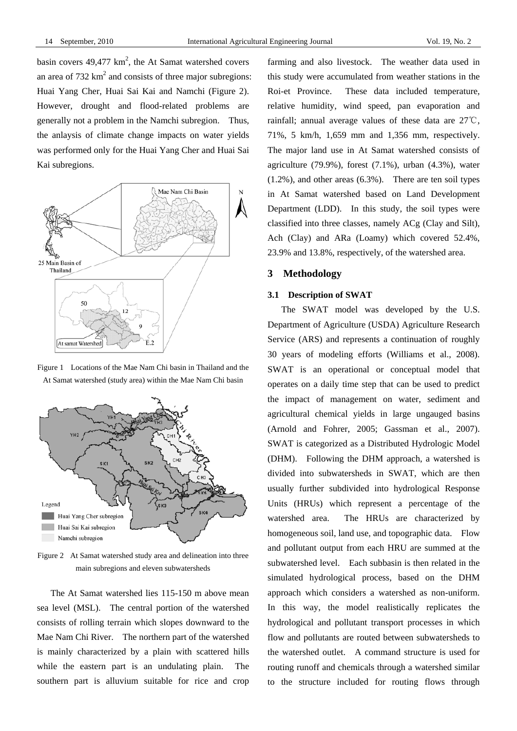basin covers  $49,477 \text{ km}^2$ , the At Samat watershed covers an area of  $732 \text{ km}^2$  and consists of three major subregions: Huai Yang Cher, Huai Sai Kai and Namchi (Figure 2). However, drought and flood-related problems are generally not a problem in the Namchi subregion. Thus, the anlaysis of climate change impacts on water yields was performed only for the Huai Yang Cher and Huai Sai Kai subregions.



Figure 1 Locations of the Mae Nam Chi basin in Thailand and the At Samat watershed (study area) within the Mae Nam Chi basin



Figure 2 At Samat watershed study area and delineation into three main subregions and eleven subwatersheds

The At Samat watershed lies 115-150 m above mean sea level (MSL). The central portion of the watershed consists of rolling terrain which slopes downward to the Mae Nam Chi River. The northern part of the watershed is mainly characterized by a plain with scattered hills while the eastern part is an undulating plain. The southern part is alluvium suitable for rice and crop farming and also livestock. The weather data used in this study were accumulated from weather stations in the Roi-et Province. These data included temperature, relative humidity, wind speed, pan evaporation and rainfall; annual average values of these data are 27℃, 71%, 5 km/h, 1,659 mm and 1,356 mm, respectively. The major land use in At Samat watershed consists of agriculture (79.9%), forest (7.1%), urban (4.3%), water (1.2%), and other areas (6.3%). There are ten soil types in At Samat watershed based on Land Development Department (LDD). In this study, the soil types were classified into three classes, namely ACg (Clay and Silt), Ach (Clay) and ARa (Loamy) which covered 52.4%, 23.9% and 13.8%, respectively, of the watershed area.

# **3 Methodology**

## **3.1 Description of SWAT**

The SWAT model was developed by the U.S. Department of Agriculture (USDA) Agriculture Research Service (ARS) and represents a continuation of roughly 30 years of modeling efforts (Williams et al., 2008). SWAT is an operational or conceptual model that operates on a daily time step that can be used to predict the impact of management on water, sediment and agricultural chemical yields in large ungauged basins (Arnold and Fohrer, 2005; Gassman et al., 2007). SWAT is categorized as a Distributed Hydrologic Model (DHM). Following the DHM approach, a watershed is divided into subwatersheds in SWAT, which are then usually further subdivided into hydrological Response Units (HRUs) which represent a percentage of the watershed area. The HRUs are characterized by homogeneous soil, land use, and topographic data. Flow and pollutant output from each HRU are summed at the subwatershed level. Each subbasin is then related in the simulated hydrological process, based on the DHM approach which considers a watershed as non-uniform. In this way, the model realistically replicates the hydrological and pollutant transport processes in which flow and pollutants are routed between subwatersheds to the watershed outlet. A command structure is used for routing runoff and chemicals through a watershed similar to the structure included for routing flows through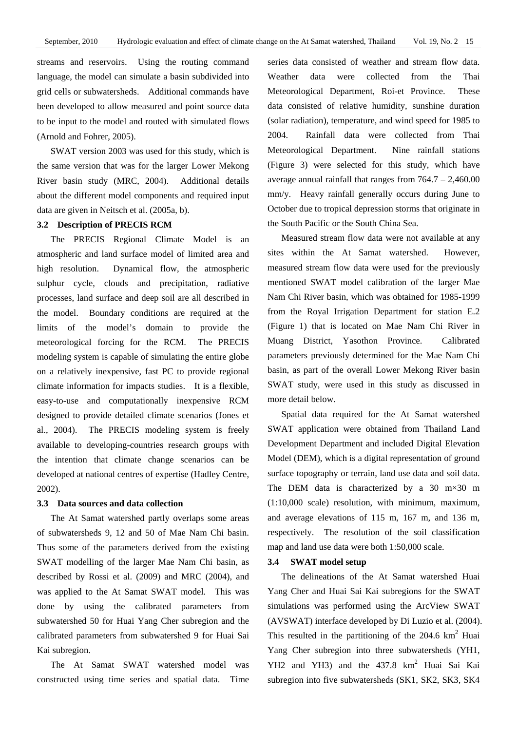streams and reservoirs. Using the routing command language, the model can simulate a basin subdivided into grid cells or subwatersheds. Additional commands have been developed to allow measured and point source data to be input to the model and routed with simulated flows (Arnold and Fohrer, 2005).

SWAT version 2003 was used for this study, which is the same version that was for the larger Lower Mekong River basin study (MRC, 2004). Additional details about the different model components and required input data are given in Neitsch et al. (2005a, b).

# **3.2 Description of PRECIS RCM**

The PRECIS Regional Climate Model is an atmospheric and land surface model of limited area and high resolution. Dynamical flow, the atmospheric sulphur cycle, clouds and precipitation, radiative processes, land surface and deep soil are all described in the model. Boundary conditions are required at the limits of the model's domain to provide the meteorological forcing for the RCM. The PRECIS modeling system is capable of simulating the entire globe on a relatively inexpensive, fast PC to provide regional climate information for impacts studies. It is a flexible, easy-to-use and computationally inexpensive RCM designed to provide detailed climate scenarios (Jones et al., 2004). The PRECIS modeling system is freely available to developing-countries research groups with the intention that climate change scenarios can be developed at national centres of expertise (Hadley Centre, 2002).

### **3.3 Data sources and data collection**

The At Samat watershed partly overlaps some areas of subwatersheds 9, 12 and 50 of Mae Nam Chi basin. Thus some of the parameters derived from the existing SWAT modelling of the larger Mae Nam Chi basin, as described by Rossi et al. (2009) and MRC (2004), and was applied to the At Samat SWAT model. This was done by using the calibrated parameters from subwatershed 50 for Huai Yang Cher subregion and the calibrated parameters from subwatershed 9 for Huai Sai Kai subregion.

The At Samat SWAT watershed model was constructed using time series and spatial data. Time series data consisted of weather and stream flow data. Weather data were collected from the Thai Meteorological Department, Roi-et Province. These data consisted of relative humidity, sunshine duration (solar radiation), temperature, and wind speed for 1985 to 2004. Rainfall data were collected from Thai Meteorological Department. Nine rainfall stations (Figure 3) were selected for this study, which have average annual rainfall that ranges from  $764.7 - 2,460.00$ mm/y. Heavy rainfall generally occurs during June to October due to tropical depression storms that originate in the South Pacific or the South China Sea.

Measured stream flow data were not available at any sites within the At Samat watershed. However, measured stream flow data were used for the previously mentioned SWAT model calibration of the larger Mae Nam Chi River basin, which was obtained for 1985-1999 from the Royal Irrigation Department for station E.2 (Figure 1) that is located on Mae Nam Chi River in Muang District, Yasothon Province. Calibrated parameters previously determined for the Mae Nam Chi basin, as part of the overall Lower Mekong River basin SWAT study, were used in this study as discussed in more detail below.

Spatial data required for the At Samat watershed SWAT application were obtained from Thailand Land Development Department and included Digital Elevation Model (DEM), which is a digital representation of ground surface topography or terrain, land use data and soil data. The DEM data is characterized by a 30  $m \times 30$  m (1:10,000 scale) resolution, with minimum, maximum, and average elevations of 115 m, 167 m, and 136 m, respectively. The resolution of the soil classification map and land use data were both 1:50,000 scale.

#### **3.4 SWAT model setup**

The delineations of the At Samat watershed Huai Yang Cher and Huai Sai Kai subregions for the SWAT simulations was performed using the ArcView SWAT (AVSWAT) interface developed by Di Luzio et al. (2004). This resulted in the partitioning of the  $204.6 \text{ km}^2$  Huai Yang Cher subregion into three subwatersheds (YH1, YH2 and YH3) and the 437.8 km<sup>2</sup> Huai Sai Kai subregion into five subwatersheds (SK1, SK2, SK3, SK4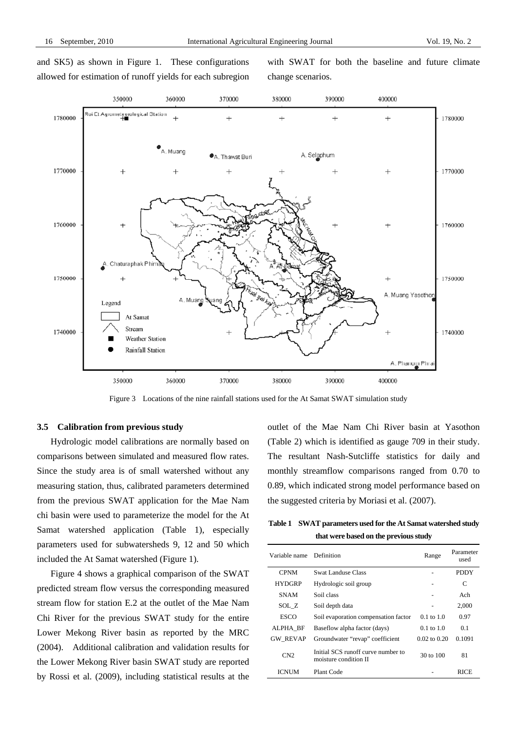and SK5) as shown in Figure 1. These configurations allowed for estimation of runoff yields for each subregion with SWAT for both the baseline and future climate change scenarios.



Figure 3Locations of the nine rainfall stations used for the At Samat SWAT simulation study

# **3.5 Calibration from previous study**

Hydrologic model calibrations are normally based on comparisons between simulated and measured flow rates. Since the study area is of small watershed without any measuring station, thus, calibrated parameters determined from the previous SWAT application for the Mae Nam chi basin were used to parameterize the model for the At Samat watershed application (Table 1), especially parameters used for subwatersheds 9, 12 and 50 which included the At Samat watershed (Figure 1).

Figure 4 shows a graphical comparison of the SWAT predicted stream flow versus the corresponding measured stream flow for station E.2 at the outlet of the Mae Nam Chi River for the previous SWAT study for the entire Lower Mekong River basin as reported by the MRC (2004). Additional calibration and validation results for the Lower Mekong River basin SWAT study are reported by Rossi et al. (2009), including statistical results at the outlet of the Mae Nam Chi River basin at Yasothon (Table 2) which is identified as gauge 709 in their study. The resultant Nash-Sutcliffe statistics for daily and monthly streamflow comparisons ranged from 0.70 to 0.89, which indicated strong model performance based on the suggested criteria by Moriasi et al. (2007).

**Table 1 SWAT parameters used for the At Samat watershed study that were based on the previous study** 

| Variable name   | Definition                                                  | Range                 | Parameter<br>used |
|-----------------|-------------------------------------------------------------|-----------------------|-------------------|
| <b>CPNM</b>     | Swat Landuse Class                                          |                       | <b>PDDY</b>       |
| <b>HYDGRP</b>   | Hydrologic soil group                                       |                       | C                 |
| <b>SNAM</b>     | Soil class                                                  |                       | Ach               |
| SOL Z           | Soil depth data                                             |                       | 2,000             |
| <b>ESCO</b>     | Soil evaporation compensation factor                        | $0.1 \text{ to } 1.0$ | 0.97              |
| ALPHA BF        | Baseflow alpha factor (days)                                | $0.1 \text{ to } 1.0$ | 0.1               |
| <b>GW REVAP</b> | Groundwater "revap" coefficient                             | $0.02$ to $0.20$      | 0.1091            |
| CN2             | Initial SCS runoff curve number to<br>moisture condition II | 30 to 100             | 81                |
| ICNUM           | Plant Code                                                  |                       | RICE              |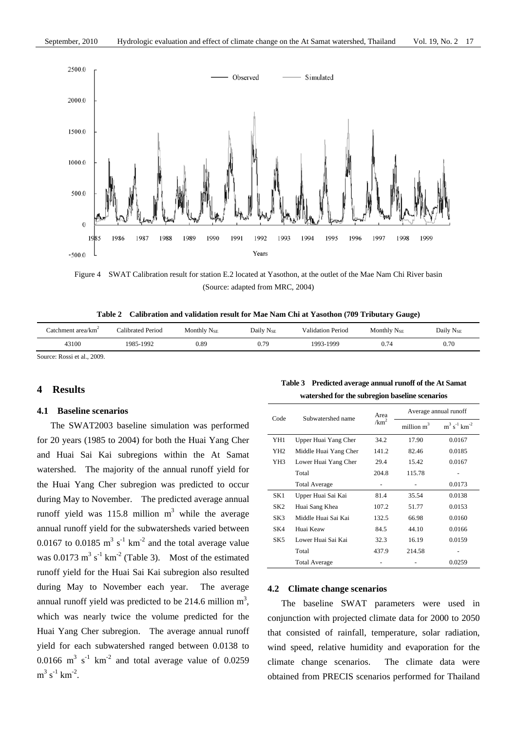

Figure 4SWAT Calibration result for station E.2 located at Yasothon, at the outlet of the Mae Nam Chi River basin (Source: adapted from MRC, 2004)

**Table 2 Calibration and validation result for Mae Nam Chi at Yasothon (709 Tributary Gauge)** 

| ∴atchment area/km | Calibrated Period | Monthly $N_{SE}$ | Daily $N_{SE}$ | <b>Validation Period</b> | Monthly $N_{SE}$ | Daily N <sub>SE</sub> |
|-------------------|-------------------|------------------|----------------|--------------------------|------------------|-----------------------|
| 43100             | 1985-1992         | 0.89             | 0.79           | 1993-1999                | J.74             | 0.70                  |
|                   |                   |                  |                |                          |                  |                       |

Source: Rossi et al., 2009.

## **4 Results**

#### **4.1 Baseline scenarios**

The SWAT2003 baseline simulation was performed for 20 years (1985 to 2004) for both the Huai Yang Cher and Huai Sai Kai subregions within the At Samat watershed. The majority of the annual runoff yield for the Huai Yang Cher subregion was predicted to occur during May to November. The predicted average annual runoff yield was 115.8 million  $m<sup>3</sup>$  while the average annual runoff yield for the subwatersheds varied between 0.0167 to 0.0185  $m^3$  s<sup>-1</sup> km<sup>-2</sup> and the total average value was  $0.0173 \text{ m}^3 \text{ s}^{-1} \text{ km}^{-2}$  (Table 3). Most of the estimated runoff yield for the Huai Sai Kai subregion also resulted during May to November each year. The average annual runoff yield was predicted to be 214.6 million  $m^3$ , which was nearly twice the volume predicted for the Huai Yang Cher subregion. The average annual runoff yield for each subwatershed ranged between 0.0138 to 0.0166  $\text{m}^3$  s<sup>-1</sup> km<sup>-2</sup> and total average value of 0.0259  $m^3 s^{-1} km^{-2}$ .

# **Table 3 Predicted average annual runoff of the At Samat watershed for the subregion baseline scenarios**

| Code            | Subwatershed name     | Area             | Average annual runoff  |                               |  |  |
|-----------------|-----------------------|------------------|------------------------|-------------------------------|--|--|
|                 |                       | /km <sup>2</sup> | million m <sup>3</sup> | $m^3 s^{-1}$ km <sup>-2</sup> |  |  |
| YH1             | Upper Huai Yang Cher  | 34.2             | 17.90                  | 0.0167                        |  |  |
| YH <sub>2</sub> | Middle Huai Yang Cher | 141.2            | 82.46                  | 0.0185                        |  |  |
| YH3             | Lower Huai Yang Cher  | 29.4             | 15.42                  | 0.0167                        |  |  |
|                 | Total                 | 204.8            | 115.78                 |                               |  |  |
|                 | <b>Total Average</b>  |                  |                        | 0.0173                        |  |  |
| SK1             | Upper Huai Sai Kai    | 81.4             | 35.54                  | 0.0138                        |  |  |
| SK <sub>2</sub> | Huai Sang Khea        | 107.2            | 51.77                  | 0.0153                        |  |  |
| SK3             | Middle Huai Sai Kai   | 132.5            | 66.98                  | 0.0160                        |  |  |
| SK4             | Huai Keaw             | 84.5             | 44.10                  | 0.0166                        |  |  |
| SK <sub>5</sub> | Lower Huai Sai Kai    | 32.3             | 16.19                  | 0.0159                        |  |  |
|                 | Total                 | 437.9            | 214.58                 |                               |  |  |
|                 | <b>Total Average</b>  |                  |                        | 0.0259                        |  |  |

## **4.2 Climate change scenarios**

The baseline SWAT parameters were used in conjunction with projected climate data for 2000 to 2050 that consisted of rainfall, temperature, solar radiation, wind speed, relative humidity and evaporation for the climate change scenarios. The climate data were obtained from PRECIS scenarios performed for Thailand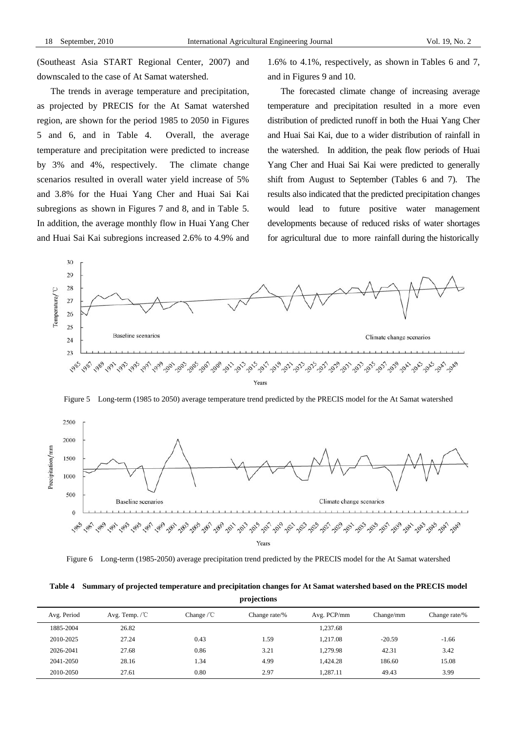(Southeast Asia START Regional Center, 2007) and downscaled to the case of At Samat watershed.

The trends in average temperature and precipitation, as projected by PRECIS for the At Samat watershed region, are shown for the period 1985 to 2050 in Figures 5 and 6, and in Table 4. Overall, the average temperature and precipitation were predicted to increase by 3% and 4%, respectively. The climate change scenarios resulted in overall water yield increase of 5% and 3.8% for the Huai Yang Cher and Huai Sai Kai subregions as shown in Figures 7 and 8, and in Table 5. In addition, the average monthly flow in Huai Yang Cher and Huai Sai Kai subregions increased 2.6% to 4.9% and 1.6% to 4.1%, respectively, as shown in Tables 6 and 7, and in Figures 9 and 10.

The forecasted climate change of increasing average temperature and precipitation resulted in a more even distribution of predicted runoff in both the Huai Yang Cher and Huai Sai Kai, due to a wider distribution of rainfall in the watershed. In addition, the peak flow periods of Huai Yang Cher and Huai Sai Kai were predicted to generally shift from August to September (Tables 6 and 7). The results also indicated that the predicted precipitation changes would lead to future positive water management developments because of reduced risks of water shortages for agricultural due to more rainfall during the historically



Figure 5Long-term (1985 to 2050) average temperature trend predicted by the PRECIS model for the At Samat watershed



Figure 6 Long-term (1985-2050) average precipitation trend predicted by the PRECIS model for the At Samat watershed

**Table 4 Summary of projected temperature and precipitation changes for At Samat watershed based on the PRECIS model projections** 

| Avg. Temp. $\sqrt{C}$ | Change $\sqrt{C}$ | Change rate/% | Avg. PCP/mm | Change/mm | Change rate/% |
|-----------------------|-------------------|---------------|-------------|-----------|---------------|
| 26.82                 |                   |               | 1.237.68    |           |               |
| 27.24                 | 0.43              | 1.59          | 1.217.08    | $-20.59$  | $-1.66$       |
| 27.68                 | 0.86              | 3.21          | 1.279.98    | 42.31     | 3.42          |
| 28.16                 | 1.34              | 4.99          | 1.424.28    | 186.60    | 15.08         |
| 27.61                 | 0.80              | 2.97          | 1,287.11    | 49.43     | 3.99          |
|                       |                   |               |             |           |               |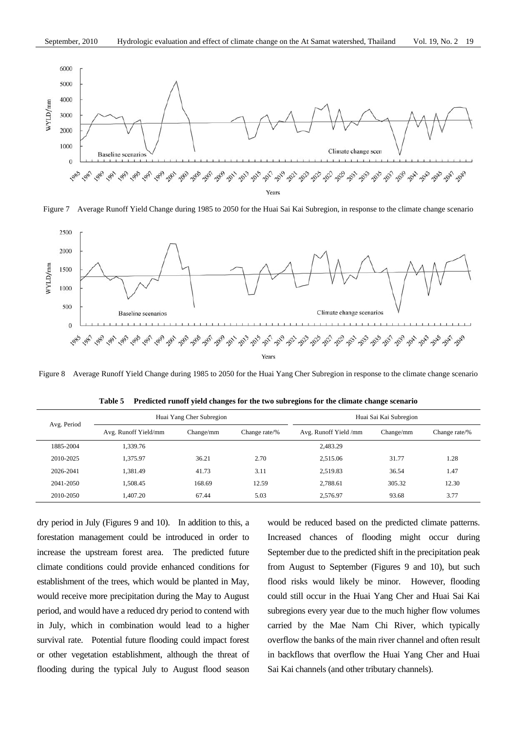

Figure 7 Average Runoff Yield Change during 1985 to 2050 for the Huai Sai Kai Subregion, in response to the climate change scenario



Figure 8Average Runoff Yield Change during 1985 to 2050 for the Huai Yang Cher Subregion in response to the climate change scenario

| Avg. Period |                      | Huai Yang Cher Subregion |       | Huai Sai Kai Subregion |           |               |  |  |
|-------------|----------------------|--------------------------|-------|------------------------|-----------|---------------|--|--|
|             | Avg. Runoff Yield/mm | Change/mm                |       | Avg. Runoff Yield /mm  | Change/mm | Change rate/% |  |  |
| 1885-2004   | .339.76              |                          |       | 2,483.29               |           |               |  |  |
| 2010-2025   | 1,375.97             | 36.21                    | 2.70  | 2.515.06               | 31.77     | 1.28          |  |  |
| 2026-2041   | .381.49              | 41.73                    | 3.11  | 2.519.83               | 36.54     | 1.47          |  |  |
| 2041-2050   | .508.45              | 168.69                   | 12.59 | 2.788.61               | 305.32    | 12.30         |  |  |
| 2010-2050   | .407.20              | 67.44                    | 5.03  | 2.576.97               | 93.68     | 3.77          |  |  |

**Table 5 Predicted runoff yield changes for the two subregions for the climate change scenario** 

dry period in July (Figures 9 and 10). In addition to this, a forestation management could be introduced in order to increase the upstream forest area. The predicted future climate conditions could provide enhanced conditions for establishment of the trees, which would be planted in May, would receive more precipitation during the May to August period, and would have a reduced dry period to contend with in July, which in combination would lead to a higher survival rate. Potential future flooding could impact forest or other vegetation establishment, although the threat of flooding during the typical July to August flood season would be reduced based on the predicted climate patterns. Increased chances of flooding might occur during September due to the predicted shift in the precipitation peak from August to September (Figures 9 and 10), but such flood risks would likely be minor. However, flooding could still occur in the Huai Yang Cher and Huai Sai Kai subregions every year due to the much higher flow volumes carried by the Mae Nam Chi River, which typically overflow the banks of the main river channel and often result in backflows that overflow the Huai Yang Cher and Huai Sai Kai channels (and other tributary channels).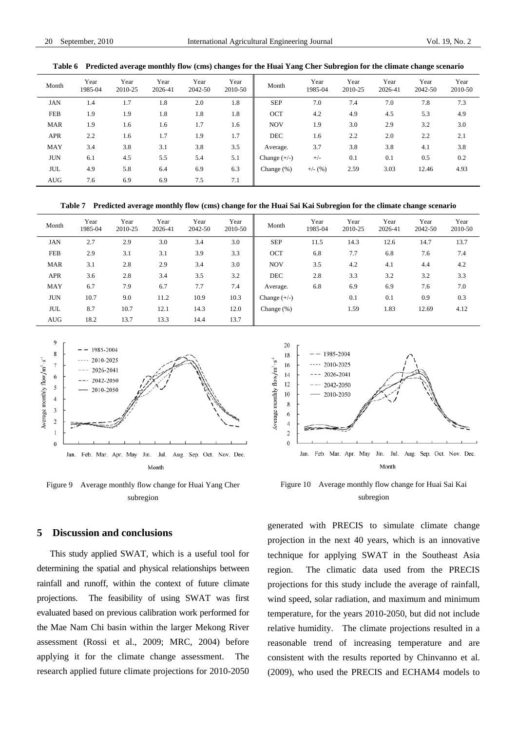| Month      | Year<br>1985-04 | Year<br>2010-25 | Year<br>2026-41 | Year<br>2042-50 | Year<br>2010-50 | Month          | Year<br>1985-04 | Year<br>2010-25 | Year<br>2026-41 | Year<br>2042-50 | Year<br>2010-50 |
|------------|-----------------|-----------------|-----------------|-----------------|-----------------|----------------|-----------------|-----------------|-----------------|-----------------|-----------------|
| <b>JAN</b> | 1.4             | 1.7             | 1.8             | 2.0             | 1.8             | <b>SEP</b>     | 7.0             | 7.4             | 7.0             | 7.8             | 7.3             |
| FEB        | 1.9             | 1.9             | 1.8             | 1.8             | 1.8             | <b>OCT</b>     | 4.2             | 4.9             | 4.5             | 5.3             | 4.9             |
| <b>MAR</b> | 1.9             | 1.6             | 1.6             | 1.7             | 1.6             | <b>NOV</b>     | 1.9             | 3.0             | 2.9             | 3.2             | 3.0             |
| APR        | 2.2             | 1.6             | 1.7             | 1.9             | 1.7             | <b>DEC</b>     | 1.6             | 2.2             | 2.0             | 2.2             | 2.1             |
| <b>MAY</b> | 3.4             | 3.8             | 3.1             | 3.8             | 3.5             | Average.       | 3.7             | 3.8             | 3.8             | 4.1             | 3.8             |
| <b>JUN</b> | 6.1             | 4.5             | 5.5             | 5.4             | 5.1             | Change $(+/-)$ | $+/-$           | 0.1             | 0.1             | 0.5             | 0.2             |
| <b>JUL</b> | 4.9             | 5.8             | 6.4             | 6.9             | 6.3             | Change $(\%)$  | $+/-$ (%)       | 2.59            | 3.03            | 12.46           | 4.93            |
| <b>AUG</b> | 7.6             | 6.9             | 6.9             | 7.5             | 7.1             |                |                 |                 |                 |                 |                 |

## **Table 6 Predicted average monthly flow (cms) changes for the Huai Yang Cher Subregion for the climate change scenario**

**Table 7 Predicted average monthly flow (cms) change for the Huai Sai Kai Subregion for the climate change scenario** 

| Month      | Year<br>1985-04 | Year<br>2010-25 | Year<br>2026-41 | Year<br>2042-50 | Year<br>2010-50 | Month          | Year<br>1985-04 | Year<br>2010-25 | Year<br>2026-41 | Year<br>2042-50 | Year<br>2010-50 |
|------------|-----------------|-----------------|-----------------|-----------------|-----------------|----------------|-----------------|-----------------|-----------------|-----------------|-----------------|
| <b>JAN</b> | 2.7             | 2.9             | 3.0             | 3.4             | 3.0             | <b>SEP</b>     | 11.5            | 14.3            | 12.6            | 14.7            | 13.7            |
| <b>FEB</b> | 2.9             | 3.1             | 3.1             | 3.9             | 3.3             | <b>OCT</b>     | 6.8             | 7.7             | 6.8             | 7.6             | 7.4             |
| <b>MAR</b> | 3.1             | 2.8             | 2.9             | 3.4             | 3.0             | <b>NOV</b>     | 3.5             | 4.2             | 4.1             | 4.4             | 4.2             |
| APR        | 3.6             | 2.8             | 3.4             | 3.5             | 3.2             | <b>DEC</b>     | 2.8             | 3.3             | 3.2             | 3.2             | 3.3             |
| <b>MAY</b> | 6.7             | 7.9             | 6.7             | 7.7             | 7.4             | Average.       | 6.8             | 6.9             | 6.9             | 7.6             | 7.0             |
| <b>JUN</b> | 10.7            | 9.0             | 11.2            | 10.9            | 10.3            | Change $(+/-)$ |                 | 0.1             | 0.1             | 0.9             | 0.3             |
| <b>JUL</b> | 8.7             | 10.7            | 12.1            | 14.3            | 12.0            | Change $(\%)$  |                 | 1.59            | 1.83            | 12.69           | 4.12            |
| <b>AUG</b> | 18.2            | 13.7            | 13.3            | 14.4            | 13.7            |                |                 |                 |                 |                 |                 |



Figure 9 Average monthly flow change for Huai Yang Cher subregion



Figure 10 Average monthly flow change for Huai Sai Kai subregion

## **5 Discussion and conclusions**

This study applied SWAT, which is a useful tool for determining the spatial and physical relationships between rainfall and runoff, within the context of future climate projections. The feasibility of using SWAT was first evaluated based on previous calibration work performed for the Mae Nam Chi basin within the larger Mekong River assessment (Rossi et al., 2009; MRC, 2004) before applying it for the climate change assessment. The research applied future climate projections for 2010-2050 generated with PRECIS to simulate climate change projection in the next 40 years, which is an innovative technique for applying SWAT in the Southeast Asia region. The climatic data used from the PRECIS projections for this study include the average of rainfall, wind speed, solar radiation, and maximum and minimum temperature, for the years 2010-2050, but did not include relative humidity. The climate projections resulted in a reasonable trend of increasing temperature and are consistent with the results reported by Chinvanno et al. (2009), who used the PRECIS and ECHAM4 models to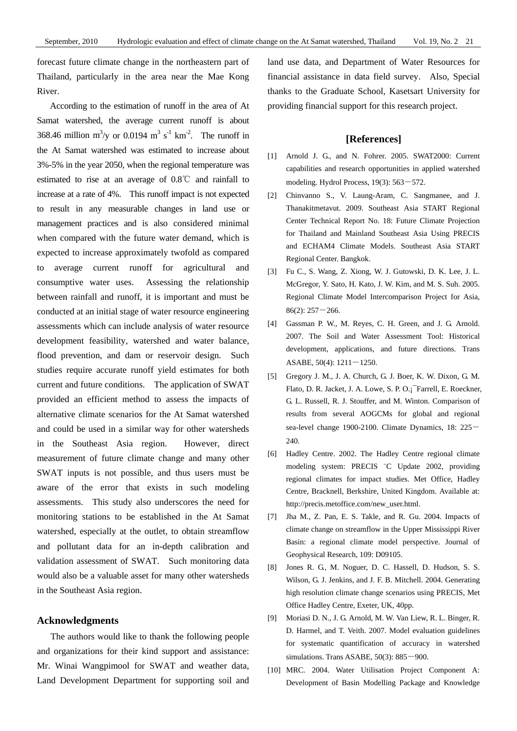forecast future climate change in the northeastern part of Thailand, particularly in the area near the Mae Kong River.

According to the estimation of runoff in the area of At Samat watershed, the average current runoff is about 368.46 million m<sup>3</sup>/y or 0.0194 m<sup>3</sup> s<sup>-1</sup> km<sup>-2</sup>. The runoff in the At Samat watershed was estimated to increase about 3%-5% in the year 2050, when the regional temperature was estimated to rise at an average of 0.8℃ and rainfall to increase at a rate of 4%. This runoff impact is not expected to result in any measurable changes in land use or management practices and is also considered minimal when compared with the future water demand, which is expected to increase approximately twofold as compared to average current runoff for agricultural and consumptive water uses. Assessing the relationship between rainfall and runoff, it is important and must be conducted at an initial stage of water resource engineering assessments which can include analysis of water resource development feasibility, watershed and water balance, flood prevention, and dam or reservoir design. Such studies require accurate runoff yield estimates for both current and future conditions. The application of SWAT provided an efficient method to assess the impacts of alternative climate scenarios for the At Samat watershed and could be used in a similar way for other watersheds in the Southeast Asia region. However, direct measurement of future climate change and many other SWAT inputs is not possible, and thus users must be aware of the error that exists in such modeling assessments. This study also underscores the need for monitoring stations to be established in the At Samat watershed, especially at the outlet, to obtain streamflow and pollutant data for an in-depth calibration and validation assessment of SWAT. Such monitoring data would also be a valuable asset for many other watersheds in the Southeast Asia region.

# **Acknowledgments**

The authors would like to thank the following people and organizations for their kind support and assistance: Mr. Winai Wangpimool for SWAT and weather data, Land Development Department for supporting soil and land use data, and Department of Water Resources for financial assistance in data field survey. Also, Special thanks to the Graduate School, Kasetsart University for providing financial support for this research project.

# **[References]**

- [1] Arnold J. G., and N. Fohrer. 2005. SWAT2000: Current capabilities and research opportunities in applied watershed modeling. Hydrol Process,  $19(3)$ :  $563 - 572$ .
- [2] Chinvanno S., V. Laung-Aram, C. Sangmanee, and J. Thanakitmetavut. 2009. Southeast Asia START Regional Center Technical Report No. 18: Future Climate Projection for Thailand and Mainland Southeast Asia Using PRECIS and ECHAM4 Climate Models. Southeast Asia START Regional Center. Bangkok.
- [3] Fu C., S. Wang, Z. Xiong, W. J. Gutowski, D. K. Lee, J. L. McGregor, Y. Sato, H. Kato, J. W. Kim, and M. S. Suh. 2005. Regional Climate Model Intercomparison Project for Asia,  $86(2): 257 - 266.$
- [4] Gassman P. W., M. Reyes, C. H. Green, and J. G. Arnold. 2007. The Soil and Water Assessment Tool: Historical development, applications, and future directions. Trans ASABE,  $50(4)$ :  $1211 - 1250$ .
- [5] Gregory J. M., J. A. Church, G. J. Boer, K. W. Dixon, G. M. Flato, D. R. Jacket, J. A. Lowe, S. P. O.¡¯Farrell, E. Roeckner, G. L. Russell, R. J. Stouffer, and M. Winton. Comparison of results from several AOGCMs for global and regional sea-level change 1900-2100. Climate Dynamics, 18: 225-240.
- [6] Hadley Centre. 2002. The Hadley Centre regional climate modeling system: PRECIS ¨C Update 2002, providing regional climates for impact studies. Met Office, Hadley Centre, Bracknell, Berkshire, United Kingdom. Available at: http://precis.metoffice.com/new\_user.html.
- [7] Jha M., Z. Pan, E. S. Takle, and R. Gu. 2004. Impacts of climate change on streamflow in the Upper Mississippi River Basin: a regional climate model perspective. Journal of Geophysical Research, 109: D09105.
- [8] Jones R. G., M. Noguer, D. C. Hassell, D. Hudson, S. S. Wilson, G. J. Jenkins, and J. F. B. Mitchell. 2004. Generating high resolution climate change scenarios using PRECIS, Met Office Hadley Centre, Exeter, UK, 40pp.
- [9] Moriasi D. N., J. G. Arnold, M. W. Van Liew, R. L. Binger, R. D. Harmel, and T. Veith. 2007. Model evaluation guidelines for systematic quantification of accuracy in watershed simulations. Trans ASABE,  $50(3)$ :  $885-900$ .
- [10] MRC. 2004. Water Utilisation Project Component A: Development of Basin Modelling Package and Knowledge